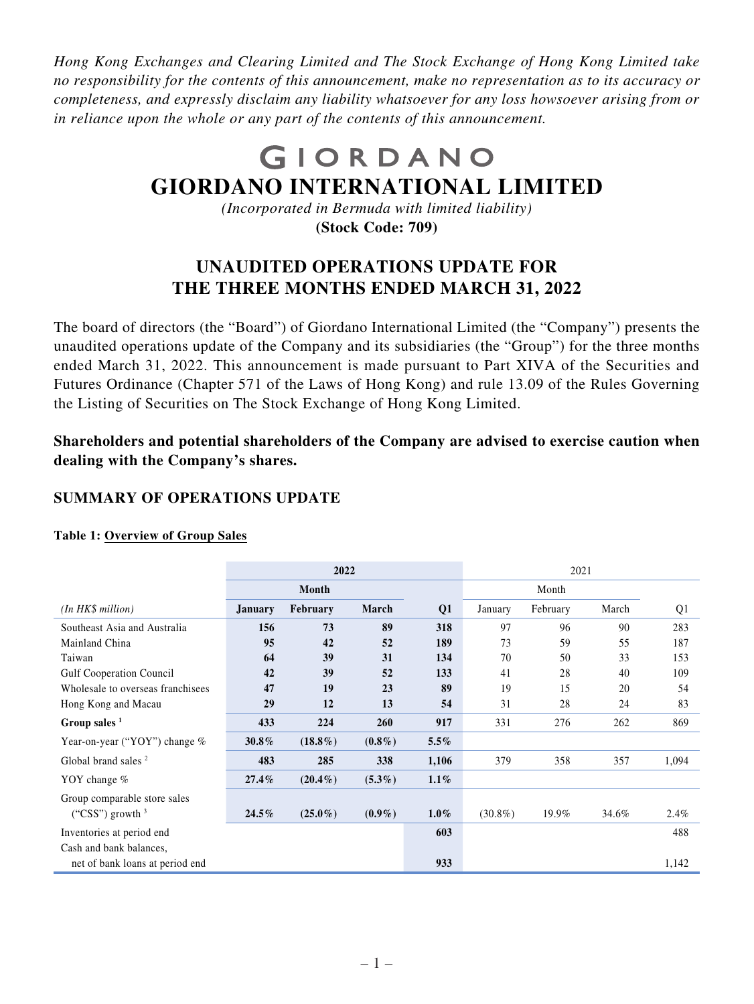*Hong Kong Exchanges and Clearing Limited and The Stock Exchange of Hong Kong Limited take no responsibility for the contents of this announcement, make no representation as to its accuracy or completeness, and expressly disclaim any liability whatsoever for any loss howsoever arising from or in reliance upon the whole or any part of the contents of this announcement.*

# GIORDANO **GIORDANO INTERNATIONAL LIMITED**

*(Incorporated in Bermuda with limited liability)* **(Stock Code: 709)**

# **UNAUDITED OPERATIONS UPDATE FOR THE THREE MONTHS ENDED MARCH 31, 2022**

The board of directors (the "Board") of Giordano International Limited (the "Company") presents the unaudited operations update of the Company and its subsidiaries (the "Group") for the three months ended March 31, 2022. This announcement is made pursuant to Part XIVA of the Securities and Futures Ordinance (Chapter 571 of the Laws of Hong Kong) and rule 13.09 of the Rules Governing the Listing of Securities on The Stock Exchange of Hong Kong Limited.

**Shareholders and potential shareholders of the Company are advised to exercise caution when dealing with the Company's shares.**

## **SUMMARY OF OPERATIONS UPDATE**

|                                   | 2022           |            |           |                | 2021       |          |       |                |  |
|-----------------------------------|----------------|------------|-----------|----------------|------------|----------|-------|----------------|--|
|                                   |                | Month      |           |                |            | Month    |       |                |  |
| (In HKS million)                  | <b>January</b> | February   | March     | Q <sub>1</sub> | January    | February | March | Q <sub>1</sub> |  |
| Southeast Asia and Australia      | 156            | 73         | 89        | 318            | 97         | 96       | 90    | 283            |  |
| Mainland China                    | 95             | 42         | 52        | 189            | 73         | 59       | 55    | 187            |  |
| Taiwan                            | 64             | 39         | 31        | 134            | 70         | 50       | 33    | 153            |  |
| <b>Gulf Cooperation Council</b>   | 42             | 39         | 52        | 133            | 41         | 28       | 40    | 109            |  |
| Wholesale to overseas franchisees | 47             | 19         | 23        | 89             | 19         | 15       | 20    | 54             |  |
| Hong Kong and Macau               | 29             | 12         | 13        | 54             | 31         | 28       | 24    | 83             |  |
| Group sales $1$                   | 433            | 224        | 260       | 917            | 331        | 276      | 262   | 869            |  |
| Year-on-year ("YOY") change %     | 30.8%          | $(18.8\%)$ | $(0.8\%)$ | $5.5\%$        |            |          |       |                |  |
| Global brand sales <sup>2</sup>   | 483            | 285        | 338       | 1,106          | 379        | 358      | 357   | 1,094          |  |
| YOY change $%$                    | $27.4\%$       | $(20.4\%)$ | $(5.3\%)$ | $1.1\%$        |            |          |       |                |  |
| Group comparable store sales      |                |            |           |                |            |          |       |                |  |
| ("CSS") growth $3$                | $24.5\%$       | $(25.0\%)$ | $(0.9\%)$ | $1.0\%$        | $(30.8\%)$ | 19.9%    | 34.6% | $2.4\%$        |  |
| Inventories at period end         |                |            |           | 603            |            |          |       | 488            |  |
| Cash and bank balances,           |                |            |           |                |            |          |       |                |  |
| net of bank loans at period end   |                |            |           | 933            |            |          |       | 1,142          |  |

#### **Table 1: Overview of Group Sales**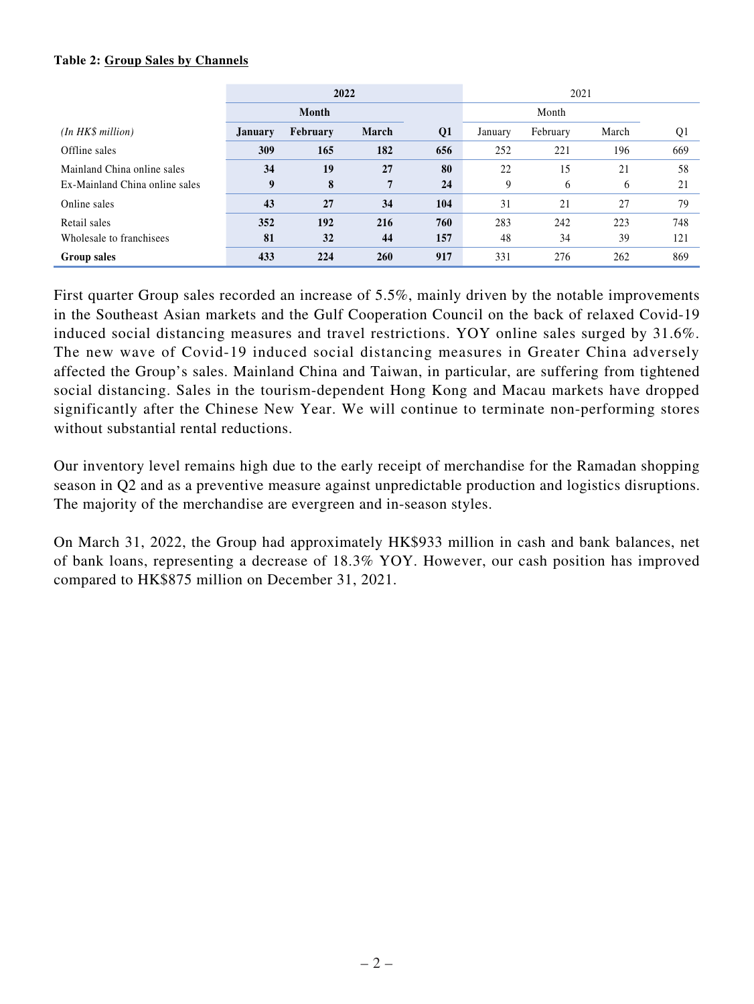#### **Table 2: Group Sales by Channels**

|                                | 2022           |          |            | 2021           |         |          |       |                |
|--------------------------------|----------------|----------|------------|----------------|---------|----------|-------|----------------|
|                                |                | Month    |            |                |         | Month    |       |                |
| (In HKS million)               | <b>January</b> | February | March      | Q <sub>1</sub> | January | February | March | Q <sub>1</sub> |
| Offline sales                  | 309            | 165      | 182        | 656            | 252     | 221      | 196   | 669            |
| Mainland China online sales    | 34             | 19       | 27         | 80             | 22      | 15       | 21    | 58             |
| Ex-Mainland China online sales | 9              | 8        | 7          | 24             | 9       | 6        | 6     | 21             |
| Online sales                   | 43             | 27       | 34         | 104            | 31      | 21       | 27    | 79             |
| Retail sales                   | 352            | 192      | 216        | 760            | 283     | 242      | 223   | 748            |
| Wholesale to franchisees       | 81             | 32       | 44         | 157            | 48      | 34       | 39    | 121            |
| Group sales                    | 433            | 224      | <b>260</b> | 917            | 331     | 276      | 262   | 869            |

First quarter Group sales recorded an increase of 5.5%, mainly driven by the notable improvements in the Southeast Asian markets and the Gulf Cooperation Council on the back of relaxed Covid-19 induced social distancing measures and travel restrictions. YOY online sales surged by 31.6%. The new wave of Covid-19 induced social distancing measures in Greater China adversely affected the Group's sales. Mainland China and Taiwan, in particular, are suffering from tightened social distancing. Sales in the tourism-dependent Hong Kong and Macau markets have dropped significantly after the Chinese New Year. We will continue to terminate non-performing stores without substantial rental reductions.

Our inventory level remains high due to the early receipt of merchandise for the Ramadan shopping season in Q2 and as a preventive measure against unpredictable production and logistics disruptions. The majority of the merchandise are evergreen and in-season styles.

On March 31, 2022, the Group had approximately HK\$933 million in cash and bank balances, net of bank loans, representing a decrease of 18.3% YOY. However, our cash position has improved compared to HK\$875 million on December 31, 2021.